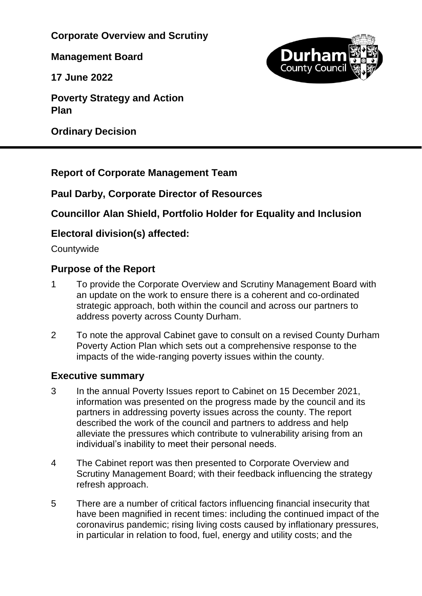**Corporate Overview and Scrutiny** 

**Management Board**

**17 June 2022**

**Poverty Strategy and Action Plan**

**Ordinary Decision**



## **Report of Corporate Management Team**

## **Paul Darby, Corporate Director of Resources**

## **Councillor Alan Shield, Portfolio Holder for Equality and Inclusion**

## **Electoral division(s) affected:**

**Countywide** 

## **Purpose of the Report**

- 1 To provide the Corporate Overview and Scrutiny Management Board with an update on the work to ensure there is a coherent and co-ordinated strategic approach, both within the council and across our partners to address poverty across County Durham.
- 2 To note the approval Cabinet gave to consult on a revised County Durham Poverty Action Plan which sets out a comprehensive response to the impacts of the wide-ranging poverty issues within the county.

## **Executive summary**

- 3 In the annual Poverty Issues report to Cabinet on 15 December 2021, information was presented on the progress made by the council and its partners in addressing poverty issues across the county. The report described the work of the council and partners to address and help alleviate the pressures which contribute to vulnerability arising from an individual's inability to meet their personal needs.
- 4 The Cabinet report was then presented to Corporate Overview and Scrutiny Management Board; with their feedback influencing the strategy refresh approach.
- 5 There are a number of critical factors influencing financial insecurity that have been magnified in recent times: including the continued impact of the coronavirus pandemic; rising living costs caused by inflationary pressures, in particular in relation to food, fuel, energy and utility costs; and the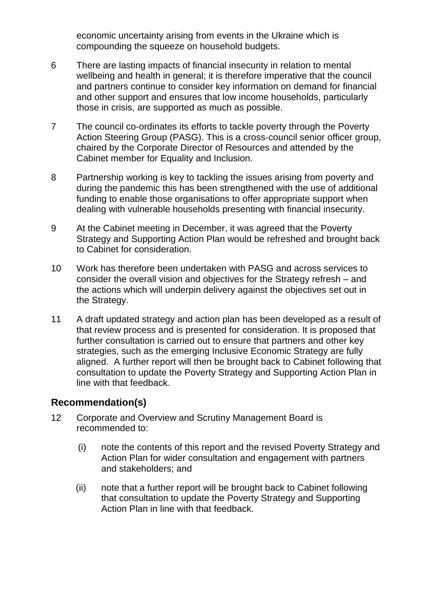economic uncertainty arising from events in the Ukraine which is compounding the squeeze on household budgets.

- 6 There are lasting impacts of financial insecurity in relation to mental wellbeing and health in general; it is therefore imperative that the council and partners continue to consider key information on demand for financial and other support and ensures that low income households, particularly those in crisis, are supported as much as possible.
- 7 The council co-ordinates its efforts to tackle poverty through the Poverty Action Steering Group (PASG). This is a cross-council senior officer group, chaired by the Corporate Director of Resources and attended by the Cabinet member for Equality and Inclusion.
- 8 Partnership working is key to tackling the issues arising from poverty and during the pandemic this has been strengthened with the use of additional funding to enable those organisations to offer appropriate support when dealing with vulnerable households presenting with financial insecurity.
- 9 At the Cabinet meeting in December, it was agreed that the Poverty Strategy and Supporting Action Plan would be refreshed and brought back to Cabinet for consideration.
- 10 Work has therefore been undertaken with PASG and across services to consider the overall vision and objectives for the Strategy refresh – and the actions which will underpin delivery against the objectives set out in the Strategy.
- 11 A draft updated strategy and action plan has been developed as a result of that review process and is presented for consideration. It is proposed that further consultation is carried out to ensure that partners and other key strategies, such as the emerging Inclusive Economic Strategy are fully aligned. A further report will then be brought back to Cabinet following that consultation to update the Poverty Strategy and Supporting Action Plan in line with that feedback.

#### **Recommendation(s)**

- 12 Corporate and Overview and Scrutiny Management Board is recommended to:
	- (i) note the contents of this report and the revised Poverty Strategy and Action Plan for wider consultation and engagement with partners and stakeholders; and
	- (ii) note that a further report will be brought back to Cabinet following that consultation to update the Poverty Strategy and Supporting Action Plan in line with that feedback.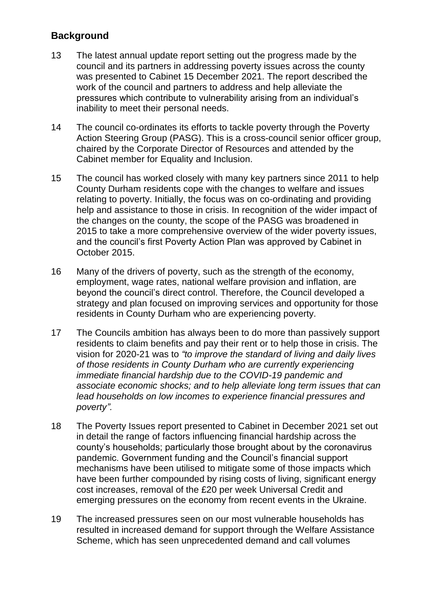## **Background**

- 13 The latest annual update report setting out the progress made by the council and its partners in addressing poverty issues across the county was presented to Cabinet 15 December 2021. The report described the work of the council and partners to address and help alleviate the pressures which contribute to vulnerability arising from an individual's inability to meet their personal needs.
- 14 The council co-ordinates its efforts to tackle poverty through the Poverty Action Steering Group (PASG). This is a cross-council senior officer group, chaired by the Corporate Director of Resources and attended by the Cabinet member for Equality and Inclusion.
- 15 The council has worked closely with many key partners since 2011 to help County Durham residents cope with the changes to welfare and issues relating to poverty. Initially, the focus was on co-ordinating and providing help and assistance to those in crisis. In recognition of the wider impact of the changes on the county, the scope of the PASG was broadened in 2015 to take a more comprehensive overview of the wider poverty issues, and the council's first Poverty Action Plan was approved by Cabinet in October 2015.
- 16 Many of the drivers of poverty, such as the strength of the economy, employment, wage rates, national welfare provision and inflation, are beyond the council's direct control. Therefore, the Council developed a strategy and plan focused on improving services and opportunity for those residents in County Durham who are experiencing poverty.
- 17 The Councils ambition has always been to do more than passively support residents to claim benefits and pay their rent or to help those in crisis. The vision for 2020-21 was to *"to improve the standard of living and daily lives of those residents in County Durham who are currently experiencing immediate financial hardship due to the COVID-19 pandemic and associate economic shocks; and to help alleviate long term issues that can lead households on low incomes to experience financial pressures and poverty".*
- 18 The Poverty Issues report presented to Cabinet in December 2021 set out in detail the range of factors influencing financial hardship across the county's households; particularly those brought about by the coronavirus pandemic. Government funding and the Council's financial support mechanisms have been utilised to mitigate some of those impacts which have been further compounded by rising costs of living, significant energy cost increases, removal of the £20 per week Universal Credit and emerging pressures on the economy from recent events in the Ukraine.
- 19 The increased pressures seen on our most vulnerable households has resulted in increased demand for support through the Welfare Assistance Scheme, which has seen unprecedented demand and call volumes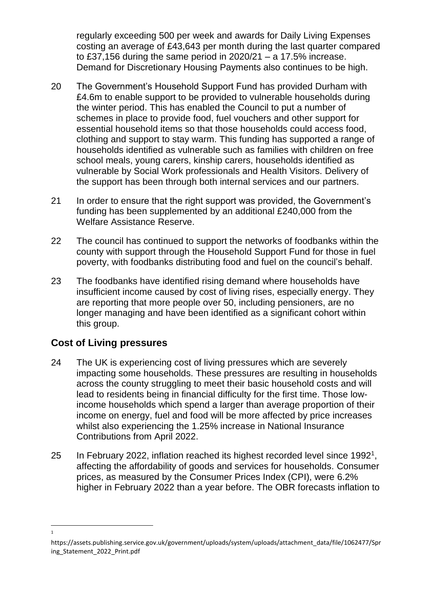regularly exceeding 500 per week and awards for Daily Living Expenses costing an average of £43,643 per month during the last quarter compared to £37,156 during the same period in 2020/21 – a 17.5% increase. Demand for Discretionary Housing Payments also continues to be high.

- 20 The Government's Household Support Fund has provided Durham with £4.6m to enable support to be provided to vulnerable households during the winter period. This has enabled the Council to put a number of schemes in place to provide food, fuel vouchers and other support for essential household items so that those households could access food, clothing and support to stay warm. This funding has supported a range of households identified as vulnerable such as families with children on free school meals, young carers, kinship carers, households identified as vulnerable by Social Work professionals and Health Visitors. Delivery of the support has been through both internal services and our partners.
- 21 In order to ensure that the right support was provided, the Government's funding has been supplemented by an additional £240,000 from the Welfare Assistance Reserve.
- 22 The council has continued to support the networks of foodbanks within the county with support through the Household Support Fund for those in fuel poverty, with foodbanks distributing food and fuel on the council's behalf.
- 23 The foodbanks have identified rising demand where households have insufficient income caused by cost of living rises, especially energy. They are reporting that more people over 50, including pensioners, are no longer managing and have been identified as a significant cohort within this group.

## **Cost of Living pressures**

 $\overline{a}$ 1

- 24 The UK is experiencing cost of living pressures which are severely impacting some households. These pressures are resulting in households across the county struggling to meet their basic household costs and will lead to residents being in financial difficulty for the first time. Those lowincome households which spend a larger than average proportion of their income on energy, fuel and food will be more affected by price increases whilst also experiencing the 1.25% increase in National Insurance Contributions from April 2022.
- 25 In February 2022, inflation reached its highest recorded level since 1992<sup>1</sup>, affecting the affordability of goods and services for households. Consumer prices, as measured by the Consumer Prices Index (CPI), were 6.2% higher in February 2022 than a year before. The OBR forecasts inflation to

https://assets.publishing.service.gov.uk/government/uploads/system/uploads/attachment\_data/file/1062477/Spr ing\_Statement\_2022\_Print.pdf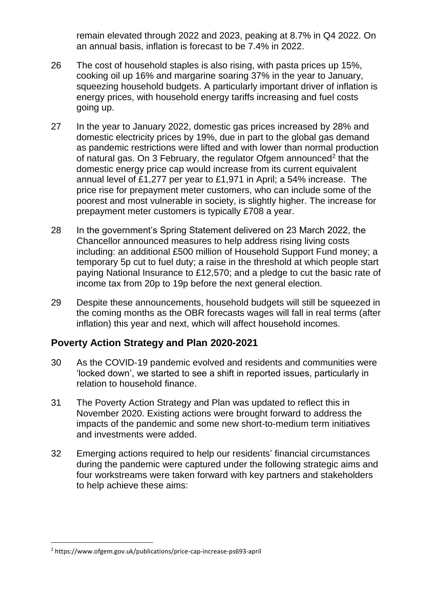remain elevated through 2022 and 2023, peaking at 8.7% in Q4 2022. On an annual basis, inflation is forecast to be 7.4% in 2022.

- 26 The cost of household staples is also rising, with pasta prices up 15%, cooking oil up 16% and margarine soaring 37% in the year to January, squeezing household budgets. A particularly important driver of inflation is energy prices, with household energy tariffs increasing and fuel costs going up.
- 27 In the year to January 2022, domestic gas prices increased by 28% and domestic electricity prices by 19%, due in part to the global gas demand as pandemic restrictions were lifted and with lower than normal production of natural gas. On 3 February, the regulator Ofgem announced<sup>2</sup> that the domestic energy price cap would increase from its current equivalent annual level of £1,277 per year to £1,971 in April; a 54% increase. The price rise for prepayment meter customers, who can include some of the poorest and most vulnerable in society, is slightly higher. The increase for prepayment meter customers is typically £708 a year.
- 28 In the government's Spring Statement delivered on 23 March 2022, the Chancellor announced measures to help address rising living costs including: an additional £500 million of Household Support Fund money; a temporary 5p cut to fuel duty; a raise in the threshold at which people start paying National Insurance to £12,570; and a pledge to cut the basic rate of income tax from 20p to 19p before the next general election.
- 29 Despite these announcements, household budgets will still be squeezed in the coming months as the OBR forecasts wages will fall in real terms (after inflation) this year and next, which will affect household incomes.

## **Poverty Action Strategy and Plan 2020-2021**

- 30 As the COVID-19 pandemic evolved and residents and communities were 'locked down', we started to see a shift in reported issues, particularly in relation to household finance.
- 31 The Poverty Action Strategy and Plan was updated to reflect this in November 2020. Existing actions were brought forward to address the impacts of the pandemic and some new short-to-medium term initiatives and investments were added.
- 32 Emerging actions required to help our residents' financial circumstances during the pandemic were captured under the following strategic aims and four workstreams were taken forward with key partners and stakeholders to help achieve these aims:

-

<sup>2</sup> https://www.ofgem.gov.uk/publications/price-cap-increase-ps693-april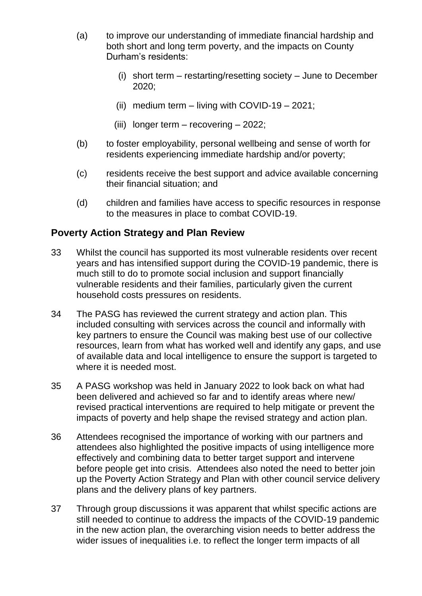- (a) to improve our understanding of immediate financial hardship and both short and long term poverty, and the impacts on County Durham's residents:
	- (i) short term restarting/resetting society June to December 2020;
	- (ii) medium term  $-$  living with COVID-19  $-$  2021;
	- (iii) longer term recovering 2022;
- (b) to foster employability, personal wellbeing and sense of worth for residents experiencing immediate hardship and/or poverty;
- (c) residents receive the best support and advice available concerning their financial situation; and
- (d) children and families have access to specific resources in response to the measures in place to combat COVID-19.

### **Poverty Action Strategy and Plan Review**

- 33 Whilst the council has supported its most vulnerable residents over recent years and has intensified support during the COVID-19 pandemic, there is much still to do to promote social inclusion and support financially vulnerable residents and their families, particularly given the current household costs pressures on residents.
- 34 The PASG has reviewed the current strategy and action plan. This included consulting with services across the council and informally with key partners to ensure the Council was making best use of our collective resources, learn from what has worked well and identify any gaps, and use of available data and local intelligence to ensure the support is targeted to where it is needed most.
- 35 A PASG workshop was held in January 2022 to look back on what had been delivered and achieved so far and to identify areas where new/ revised practical interventions are required to help mitigate or prevent the impacts of poverty and help shape the revised strategy and action plan.
- 36 Attendees recognised the importance of working with our partners and attendees also highlighted the positive impacts of using intelligence more effectively and combining data to better target support and intervene before people get into crisis. Attendees also noted the need to better join up the Poverty Action Strategy and Plan with other council service delivery plans and the delivery plans of key partners.
- 37 Through group discussions it was apparent that whilst specific actions are still needed to continue to address the impacts of the COVID-19 pandemic in the new action plan, the overarching vision needs to better address the wider issues of inequalities i.e. to reflect the longer term impacts of all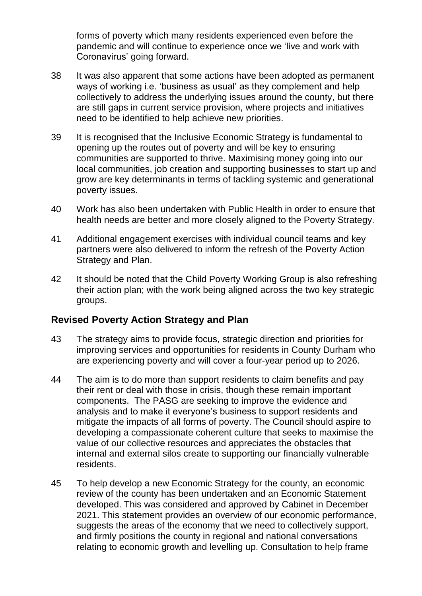forms of poverty which many residents experienced even before the pandemic and will continue to experience once we 'live and work with Coronavirus' going forward.

- 38 It was also apparent that some actions have been adopted as permanent ways of working i.e. 'business as usual' as they complement and help collectively to address the underlying issues around the county, but there are still gaps in current service provision, where projects and initiatives need to be identified to help achieve new priorities.
- 39 It is recognised that the Inclusive Economic Strategy is fundamental to opening up the routes out of poverty and will be key to ensuring communities are supported to thrive. Maximising money going into our local communities, job creation and supporting businesses to start up and grow are key determinants in terms of tackling systemic and generational poverty issues.
- 40 Work has also been undertaken with Public Health in order to ensure that health needs are better and more closely aligned to the Poverty Strategy.
- 41 Additional engagement exercises with individual council teams and key partners were also delivered to inform the refresh of the Poverty Action Strategy and Plan.
- 42 It should be noted that the Child Poverty Working Group is also refreshing their action plan; with the work being aligned across the two key strategic groups.

#### **Revised Poverty Action Strategy and Plan**

- 43 The strategy aims to provide focus, strategic direction and priorities for improving services and opportunities for residents in County Durham who are experiencing poverty and will cover a four-year period up to 2026.
- 44 The aim is to do more than support residents to claim benefits and pay their rent or deal with those in crisis, though these remain important components. The PASG are seeking to improve the evidence and analysis and to make it everyone's business to support residents and mitigate the impacts of all forms of poverty. The Council should aspire to developing a compassionate coherent culture that seeks to maximise the value of our collective resources and appreciates the obstacles that internal and external silos create to supporting our financially vulnerable residents.
- 45 To help develop a new Economic Strategy for the county, an economic review of the county has been undertaken and an Economic Statement developed. This was considered and approved by Cabinet in December 2021. This statement provides an overview of our economic performance, suggests the areas of the economy that we need to collectively support, and firmly positions the county in regional and national conversations relating to economic growth and levelling up. Consultation to help frame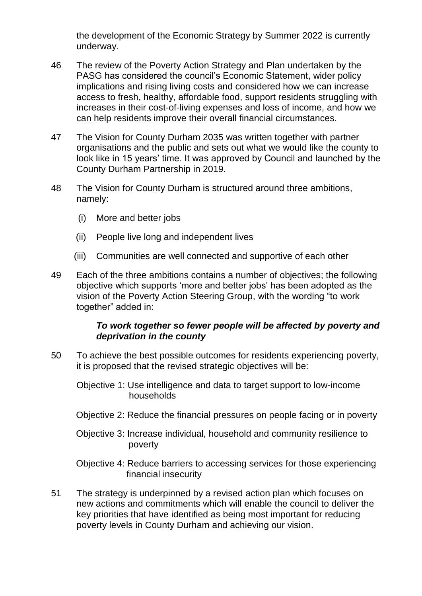the development of the Economic Strategy by Summer 2022 is currently underway.

- 46 The review of the Poverty Action Strategy and Plan undertaken by the PASG has considered the council's Economic Statement, wider policy implications and rising living costs and considered how we can increase access to fresh, healthy, affordable food, support residents struggling with increases in their cost-of-living expenses and loss of income, and how we can help residents improve their overall financial circumstances.
- 47 The Vision for County Durham 2035 was written together with partner organisations and the public and sets out what we would like the county to look like in 15 years' time. It was approved by Council and launched by the County Durham Partnership in 2019.
- 48 The Vision for County Durham is structured around three ambitions, namely:
	- (i) More and better jobs
	- (ii) People live long and independent lives
	- (iii) Communities are well connected and supportive of each other
- 49 Each of the three ambitions contains a number of objectives; the following objective which supports 'more and better jobs' has been adopted as the vision of the Poverty Action Steering Group, with the wording "to work together" added in:

#### *To work together so fewer people will be affected by poverty and deprivation in the county*

- 50 To achieve the best possible outcomes for residents experiencing poverty, it is proposed that the revised strategic objectives will be:
	- Objective 1: Use intelligence and data to target support to low-income households
	- Objective 2: Reduce the financial pressures on people facing or in poverty
	- Objective 3: Increase individual, household and community resilience to poverty

Objective 4: Reduce barriers to accessing services for those experiencing financial insecurity

51 The strategy is underpinned by a revised action plan which focuses on new actions and commitments which will enable the council to deliver the key priorities that have identified as being most important for reducing poverty levels in County Durham and achieving our vision.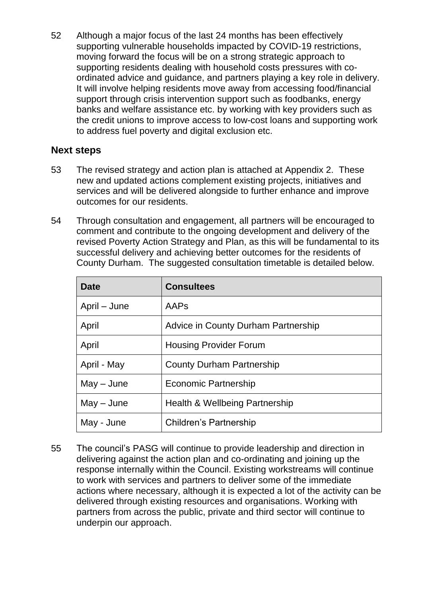52 Although a major focus of the last 24 months has been effectively supporting vulnerable households impacted by COVID-19 restrictions, moving forward the focus will be on a strong strategic approach to supporting residents dealing with household costs pressures with coordinated advice and guidance, and partners playing a key role in delivery. It will involve helping residents move away from accessing food/financial support through crisis intervention support such as foodbanks, energy banks and welfare assistance etc. by working with key providers such as the credit unions to improve access to low-cost loans and supporting work to address fuel poverty and digital exclusion etc.

#### **Next steps**

- 53 The revised strategy and action plan is attached at Appendix 2. These new and updated actions complement existing projects, initiatives and services and will be delivered alongside to further enhance and improve outcomes for our residents.
- 54 Through consultation and engagement, all partners will be encouraged to comment and contribute to the ongoing development and delivery of the revised Poverty Action Strategy and Plan, as this will be fundamental to its successful delivery and achieving better outcomes for the residents of County Durham. The suggested consultation timetable is detailed below.

| <b>Date</b>  | <b>Consultees</b>                   |
|--------------|-------------------------------------|
| April – June | AAPs                                |
| April        | Advice in County Durham Partnership |
| April        | <b>Housing Provider Forum</b>       |
| April - May  | <b>County Durham Partnership</b>    |
| $May - June$ | Economic Partnership                |
| $May - June$ | Health & Wellbeing Partnership      |
| May - June   | Children's Partnership              |

55 The council's PASG will continue to provide leadership and direction in delivering against the action plan and co-ordinating and joining up the response internally within the Council. Existing workstreams will continue to work with services and partners to deliver some of the immediate actions where necessary, although it is expected a lot of the activity can be delivered through existing resources and organisations. Working with partners from across the public, private and third sector will continue to underpin our approach.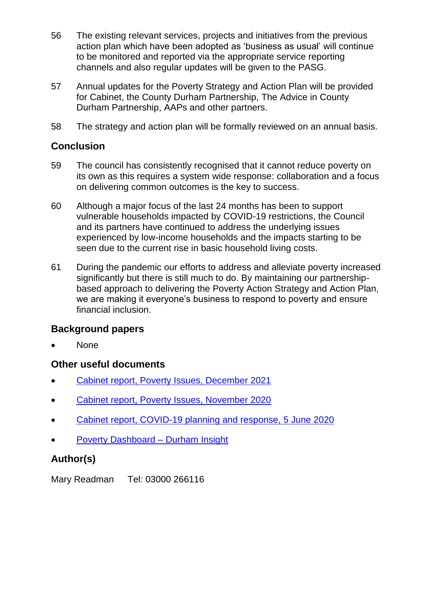- 56 The existing relevant services, projects and initiatives from the previous action plan which have been adopted as 'business as usual' will continue to be monitored and reported via the appropriate service reporting channels and also regular updates will be given to the PASG.
- 57 Annual updates for the Poverty Strategy and Action Plan will be provided for Cabinet, the County Durham Partnership, The Advice in County Durham Partnership, AAPs and other partners.
- 58 The strategy and action plan will be formally reviewed on an annual basis.

### **Conclusion**

- 59 The council has consistently recognised that it cannot reduce poverty on its own as this requires a system wide response: collaboration and a focus on delivering common outcomes is the key to success.
- 60 Although a major focus of the last 24 months has been to support vulnerable households impacted by COVID-19 restrictions, the Council and its partners have continued to address the underlying issues experienced by low-income households and the impacts starting to be seen due to the current rise in basic household living costs.
- 61 During the pandemic our efforts to address and alleviate poverty increased significantly but there is still much to do. By maintaining our partnershipbased approach to delivering the Poverty Action Strategy and Action Plan, we are making it everyone's business to respond to poverty and ensure financial inclusion.

## **Background papers**

None

#### **Other useful documents**

- [Cabinet report, Poverty Issues, December 2021](https://democracy.durham.gov.uk/documents/s149088/Poverty%20Issues_.pdf)
- [Cabinet report, Poverty Issues, November 2020](https://democracy.durham.gov.uk/documents/s129326/Poverty%20Cabinet%20report%20November%202020%20v2.3.pdfhttps:/democracy.durham.gov.uk/documents/s129326/Poverty%20Cabinet%20report%20November%202020%20v2.3.pdf)
- [Cabinet report, COVID-19 planning and response, 5 June 2020](https://democracy.durham.gov.uk/documents/s122804/COVID-19%20Cabinet%20report.pdf)
- [Poverty Dashboard –](https://www.durhaminsight.info/poverty/#/view-report/0a6673a628fd4d9597f0d3aa83105659/___iaFirstFeature) Durham Insight

## **Author(s)**

Mary Readman Tel: 03000 266116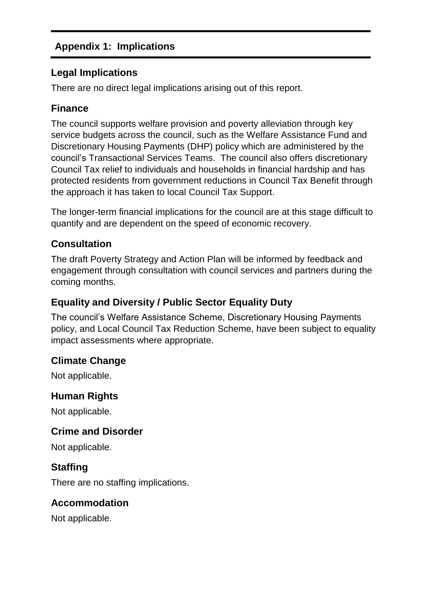## **Appendix 1: Implications**

## **Legal Implications**

There are no direct legal implications arising out of this report.

## **Finance**

The council supports welfare provision and poverty alleviation through key service budgets across the council, such as the Welfare Assistance Fund and Discretionary Housing Payments (DHP) policy which are administered by the council's Transactional Services Teams. The council also offers discretionary Council Tax relief to individuals and households in financial hardship and has protected residents from government reductions in Council Tax Benefit through the approach it has taken to local Council Tax Support.

The longer-term financial implications for the council are at this stage difficult to quantify and are dependent on the speed of economic recovery.

## **Consultation**

The draft Poverty Strategy and Action Plan will be informed by feedback and engagement through consultation with council services and partners during the coming months.

## **Equality and Diversity / Public Sector Equality Duty**

The council's Welfare Assistance Scheme, Discretionary Housing Payments policy, and Local Council Tax Reduction Scheme, have been subject to equality impact assessments where appropriate.

## **Climate Change**

Not applicable.

## **Human Rights**

Not applicable.

## **Crime and Disorder**

Not applicable.

## **Staffing**

There are no staffing implications.

## **Accommodation**

Not applicable.